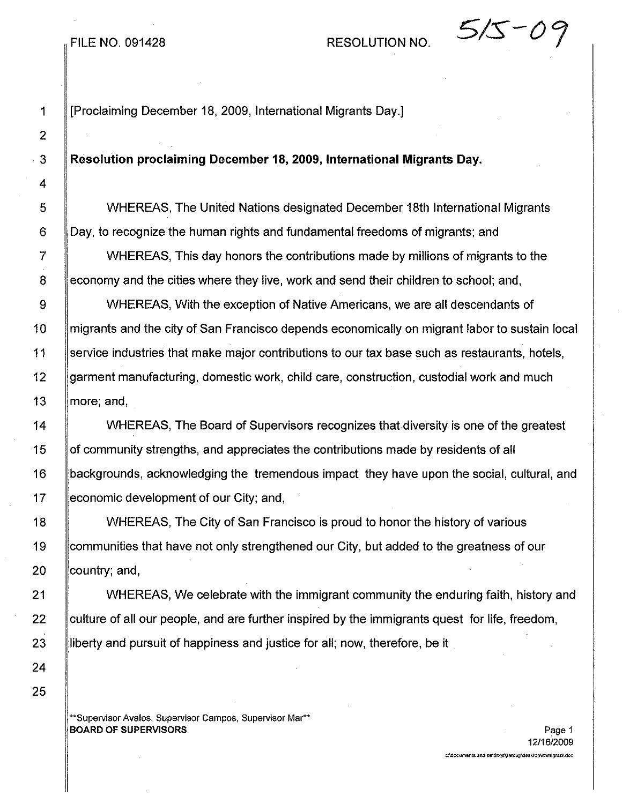# FILE NO. 091428 RESOLUTION NO.  $5/5-0$

1 [Proclaiming December 18, 2009, International Migrants Day.]

### 3 Resolution proclaiming December 18,2009, International Migrants Day.

5 WHEREAS, The United Nations designated December 18th International Migrants 6 Day, to recognize the human rights and fundamental freedoms of migrants; and

7 **Tell State WHEREAS, This day honors the contributions made by millions of migrants to the** 8 economy and the cities where they live, work and send their children to school; and,

9  $\parallel$  WHEREAS, With the exception of Native Americans, we are all descendants of 10 migrants and the city of San Francisco depends economically on migrant labor to sustain local 11 Service industries that make major contributions to our tax base such as restaurants, hotels, 12 garment manufacturing, domestic work, child care, construction, custodial work and much 13 | more; and,

14 Number 2015. The Board of Supervisors recognizes that diversity is one of the greatest 15 of community strengths, and appreciates the contributions made by residents of all 16 backgrounds, acknowledging the tremendous impact they have upon the social, cultural, and 17 economic development of our City; and,

18 WHEREAS, The City of San Francisco is proud to honor the history of various 19 communities that have not only strengthened our City, but added to the greatness of our 20  $\sim$  country; and,

21 **WHEREAS, We celebrate with the immigrant community the enduring faith, history and**  $22$  ||culture of all our people, and are further inspired by the immigrants quest for life, freedom, 23 **liberty and pursuit of happiness and justice for all; now, therefore, be it** 

"Supervisor Avalos, Supervisor Campos, Supervisor Mar\*\* BOARD OF SUPERVISORS Page 1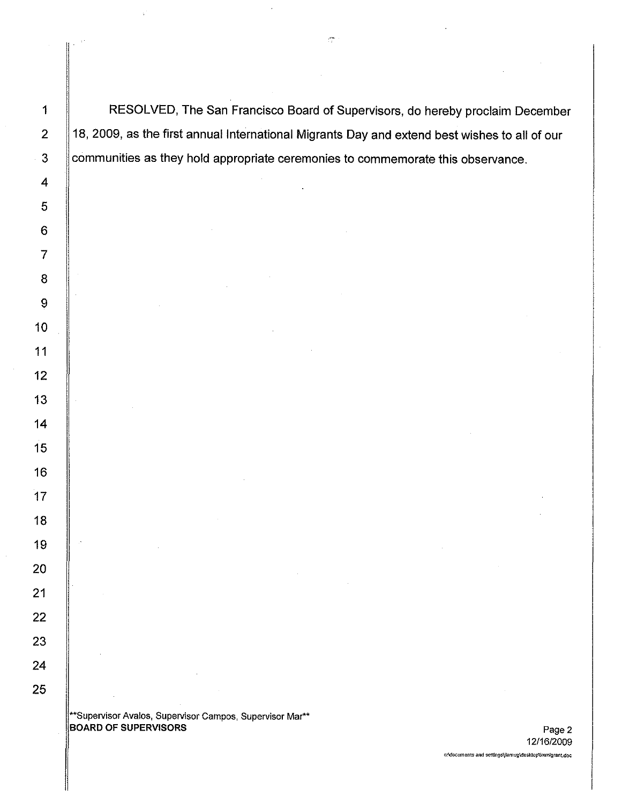1 | RESOLVED, The San Francisco Board of Supervisors, do hereby proclaim December 2 | 18, 2009, as the first annual International Migrants Day and extend best wishes to all of our 3 communities as they hold appropriate ceremonies to commemorate this observance.

\*\*Supervisor Avalos, Supervisor Campos, Supervisor Mar\*\* BOARD OF SUPERVISORS **Page 2**